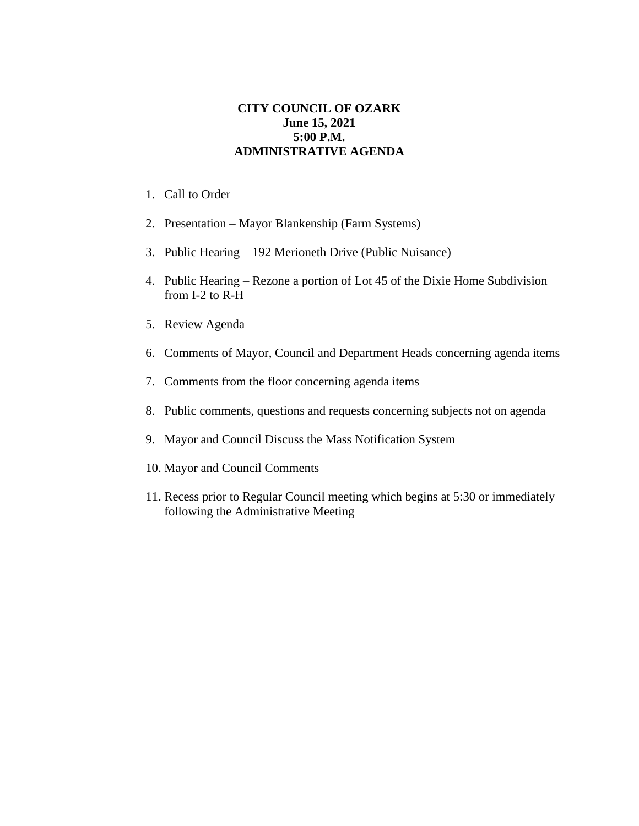## **CITY COUNCIL OF OZARK June 15, 2021 5:00 P.M. ADMINISTRATIVE AGENDA**

- 1. Call to Order
- 2. Presentation Mayor Blankenship (Farm Systems)
- 3. Public Hearing 192 Merioneth Drive (Public Nuisance)
- 4. Public Hearing Rezone a portion of Lot 45 of the Dixie Home Subdivision from I-2 to R-H
- 5. Review Agenda
- 6. Comments of Mayor, Council and Department Heads concerning agenda items
- 7. Comments from the floor concerning agenda items
- 8. Public comments, questions and requests concerning subjects not on agenda
- 9. Mayor and Council Discuss the Mass Notification System
- 10. Mayor and Council Comments
- 11. Recess prior to Regular Council meeting which begins at 5:30 or immediately following the Administrative Meeting